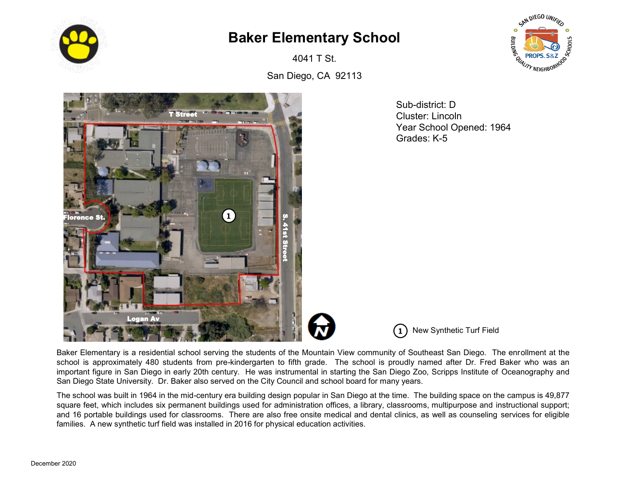

## **Baker Elementary School**

4041 T St.



San Diego, CA 92113



Sub-district: D Cluster: Lincoln Year School Opened: 1964 Grades: K-5

**1** New Synthetic Turf Field

Baker Elementary is a residential school serving the students of the Mountain View community of Southeast San Diego. The enrollment at the school is approximately 480 students from pre-kindergarten to fifth grade. The school is proudly named after Dr. Fred Baker who was an important figure in San Diego in early 20th century. He was instrumental in starting the San Diego Zoo, Scripps Institute of Oceanography and San Diego State University. Dr. Baker also served on the City Council and school board for many years.

The school was built in 1964 in the mid-century era building design popular in San Diego at the time. The building space on the campus is 49,877 square feet, which includes six permanent buildings used for administration offices, a library, classrooms, multipurpose and instructional support; and 16 portable buildings used for classrooms. There are also free onsite medical and dental clinics, as well as counseling services for eligible families. A new synthetic turf field was installed in 2016 for physical education activities.